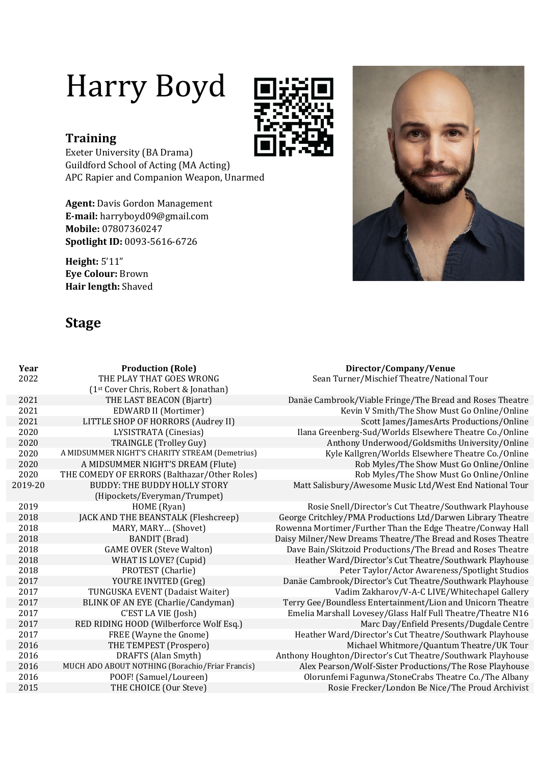# Harry Boyd



# **Training**

Exeter University (BA Drama) Guildford School of Acting (MA Acting) APC Rapier and Companion Weapon, Unarmed

**Agent:** Davis Gordon Management **E-mail:** harryboyd09@gmail.com **Mobile:** 07807360247 **Spotlight ID:** 0093-5616-6726

**Height:** 5'11" **Eye Colour:** Brown **Hair length:** Shaved

# **Stage**

| Year    | <b>Production (Role)</b>                         | Director/Company/Venue                                      |
|---------|--------------------------------------------------|-------------------------------------------------------------|
| 2022    | THE PLAY THAT GOES WRONG                         | Sean Turner/Mischief Theatre/National Tour                  |
|         | (1 <sup>st</sup> Cover Chris, Robert & Jonathan) |                                                             |
| 2021    | THE LAST BEACON (Bjartr)                         | Danäe Cambrook/Viable Fringe/The Bread and Roses Theatre    |
| 2021    | <b>EDWARD II (Mortimer)</b>                      | Kevin V Smith/The Show Must Go Online/Online                |
| 2021    | LITTLE SHOP OF HORRORS (Audrey II)               | Scott James/JamesArts Productions/Online                    |
| 2020    | LYSISTRATA (Cinesias)                            | Ilana Greenberg-Sud/Worlds Elsewhere Theatre Co./Online     |
| 2020    | TRAINGLE (Trolley Guy)                           | Anthony Underwood/Goldsmiths University/Online              |
| 2020    | A MIDSUMMER NIGHT'S CHARITY STREAM (Demetrius)   | Kyle Kallgren/Worlds Elsewhere Theatre Co./Online           |
| 2020    | A MIDSUMMER NIGHT'S DREAM (Flute)                | Rob Myles/The Show Must Go Online/Online                    |
| 2020    | THE COMEDY OF ERRORS (Balthazar/Other Roles)     | Rob Myles/The Show Must Go Online/Online                    |
| 2019-20 | <b>BUDDY: THE BUDDY HOLLY STORY</b>              | Matt Salisbury/Awesome Music Ltd/West End National Tour     |
|         | (Hipockets/Everyman/Trumpet)                     |                                                             |
| 2019    | HOME (Ryan)                                      | Rosie Snell/Director's Cut Theatre/Southwark Playhouse      |
| 2018    | JACK AND THE BEANSTALK (Fleshcreep)              | George Critchley/PMA Productions Ltd/Darwen Library Theatre |
| 2018    | MARY, MARY (Shovet)                              | Rowenna Mortimer/Further Than the Edge Theatre/Conway Hall  |
| 2018    | <b>BANDIT</b> (Brad)                             | Daisy Milner/New Dreams Theatre/The Bread and Roses Theatre |
| 2018    | <b>GAME OVER (Steve Walton)</b>                  | Dave Bain/Skitzoid Productions/The Bread and Roses Theatre  |
| 2018    | WHAT IS LOVE? (Cupid)                            | Heather Ward/Director's Cut Theatre/Southwark Playhouse     |
| 2018    | PROTEST (Charlie)                                | Peter Taylor/Actor Awareness/Spotlight Studios              |
| 2017    | YOU'RE INVITED (Greg)                            | Danäe Cambrook/Director's Cut Theatre/Southwark Playhouse   |
| 2017    | TUNGUSKA EVENT (Dadaist Waiter)                  | Vadim Zakharov/V-A-C LIVE/Whitechapel Gallery               |
| 2017    | BLINK OF AN EYE (Charlie/Candyman)               | Terry Gee/Boundless Entertainment/Lion and Unicorn Theatre  |
| 2017    | C'EST LA VIE (Josh)                              | Emelia Marshall Lovesey/Glass Half Full Theatre/Theatre N16 |
| 2017    | RED RIDING HOOD (Wilberforce Wolf Esq.)          | Marc Day/Enfield Presents/Dugdale Centre                    |
| 2017    | FREE (Wayne the Gnome)                           | Heather Ward/Director's Cut Theatre/Southwark Playhouse     |
| 2016    | THE TEMPEST (Prospero)                           | Michael Whitmore/Quantum Theatre/UK Tour                    |
| 2016    | DRAFTS (Alan Smyth)                              | Anthony Houghton/Director's Cut Theatre/Southwark Playhouse |
| 2016    | MUCH ADO ABOUT NOTHING (Borachio/Friar Francis)  | Alex Pearson/Wolf-Sister Productions/The Rose Playhouse     |
| 2016    | POOF! (Samuel/Loureen)                           | Olorunfemi Fagunwa/StoneCrabs Theatre Co./The Albany        |
| 2015    | THE CHOICE (Our Steve)                           | Rosie Frecker/London Be Nice/The Proud Archivist            |
|         |                                                  |                                                             |